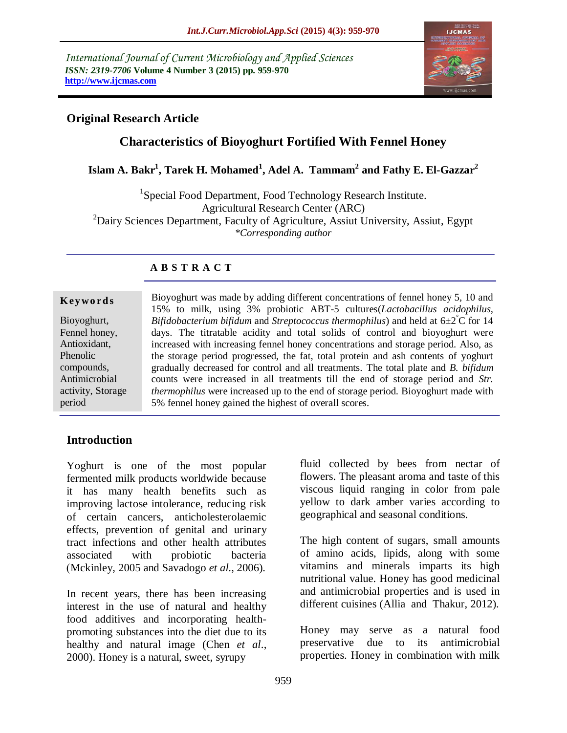*International Journal of Current Microbiology and Applied Sciences ISSN: 2319-7706* **Volume 4 Number 3 (2015) pp. 959-970 http://www.ijcmas.com** 



## **Original Research Article**

# **Characteristics of Bioyoghurt Fortified With Fennel Honey**

# **Islam A. Bakr<sup>1</sup> , Tarek H. Mohamed<sup>1</sup> , Adel A. Tammam<sup>2</sup> and Fathy E. El-Gazzar<sup>2</sup>**

<sup>1</sup>Special Food Department, Food Technology Research Institute. Agricultural Research Center (ARC) <sup>2</sup>Dairy Sciences Department, Faculty of Agriculture, Assiut University, Assiut, Egypt *\*Corresponding author*

#### **A B S T R A C T**

#### **K ey w o rd s**

Bioyoghurt, Fennel honey, Antioxidant, Phenolic compounds, Antimicrobial activity, Storage period

Bioyoghurt was made by adding different concentrations of fennel honey 5, 10 and 15% to milk, using 3% probiotic ABT-5 cultures(*Lactobacillus acidophilus, Bifidobacterium bifidum* and *Streptococcus thermophilus*) and held at 6±2°C for 14 days. The titratable acidity and total solids of control and bioyoghurt were increased with increasing fennel honey concentrations and storage period. Also, as the storage period progressed, the fat, total protein and ash contents of yoghurt gradually decreased for control and all treatments. The total plate and *B. bifidum* counts were increased in all treatments till the end of storage period and *Str. thermophilus* were increased up to the end of storage period. Bioyoghurt made with 5% fennel honey gained the highest of overall scores.

#### **Introduction**

Yoghurt is one of the most popular fermented milk products worldwide because it has many health benefits such as improving lactose intolerance, reducing risk of certain cancers, anticholesterolaemic effects, prevention of genital and urinary tract infections and other health attributes associated with probiotic bacteria )Mckinley, 2005 and Savadogo *et al*., 2006).

In recent years, there has been increasing interest in the use of natural and healthy food additives and incorporating healthpromoting substances into the diet due to its healthy and natural image (Chen *et al*., 2000). Honey is a natural, sweet, syrupy

fluid collected by bees from nectar of flowers. The pleasant aroma and taste of this viscous liquid ranging in color from pale yellow to dark amber varies according to geographical and seasonal conditions.

The high content of sugars, small amounts of amino acids, lipids, along with some vitamins and minerals imparts its high nutritional value. Honey has good medicinal and antimicrobial properties and is used in different cuisines (Allia and Thakur, 2012).

Honey may serve as a natural food preservative due to its antimicrobial properties. Honey in combination with milk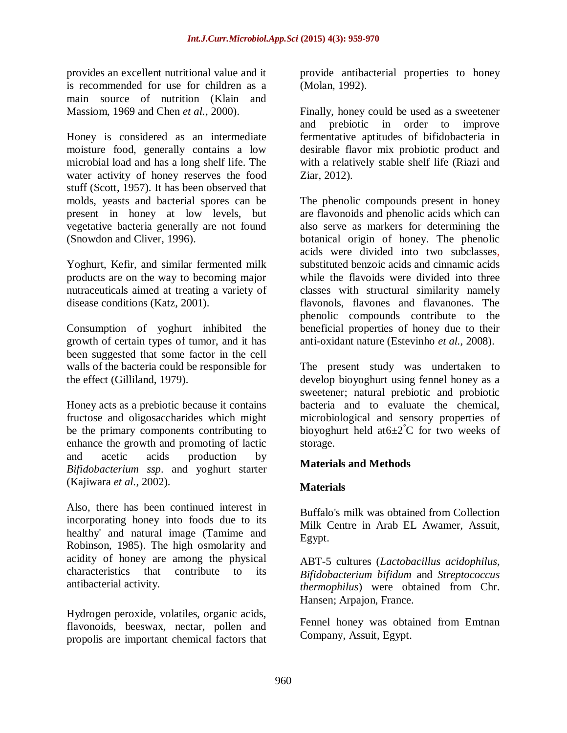provides an excellent nutritional value and it is recommended for use for children as a main source of nutrition (Klain and Massiom, 1969 and Chen *et al.*, 2000).

Honey is considered as an intermediate moisture food, generally contains a low microbial load and has a long shelf life. The water activity of honey reserves the food stuff (Scott, 1957). It has been observed that molds, yeasts and bacterial spores can be present in honey at low levels, but vegetative bacteria generally are not found (Snowdon and Cliver, 1996).

Yoghurt, Kefir, and similar fermented milk products are on the way to becoming major nutraceuticals aimed at treating a variety of disease conditions (Katz, 2001).

Consumption of yoghurt inhibited the growth of certain types of tumor, and it has been suggested that some factor in the cell walls of the bacteria could be responsible for the effect (Gilliland, 1979).

Honey acts as a prebiotic because it contains fructose and oligosaccharides which might be the primary components contributing to enhance the growth and promoting of lactic and acetic acids production by *Bifidobacterium ssp*. and yoghurt starter (Kajiwara *et al.*, 2002).

Also, there has been continued interest in incorporating honey into foods due to its healthy' and natural image (Tamime and Robinson, 1985). The high osmolarity and acidity of honey are among the physical characteristics that contribute to its antibacterial activity.

Hydrogen peroxide, volatiles, organic acids, flavonoids, beeswax, nectar, pollen and propolis are important chemical factors that provide antibacterial properties to honey (Molan, 1992).

Finally, honey could be used as a sweetener and prebiotic in order to improve fermentative aptitudes of bifidobacteria in desirable flavor mix probiotic product and with a relatively stable shelf life (Riazi and Ziar, 2012).

The phenolic compounds present in honey are flavonoids and phenolic acids which can also serve as markers for determining the botanical origin of honey. The phenolic acids were divided into two subclasses, substituted benzoic acids and cinnamic acids while the flavoids were divided into three classes with structural similarity namely flavonols, flavones and flavanones. The phenolic compounds contribute to the beneficial properties of honey due to their anti-oxidant nature (Estevinho *et al.,* 2008).

The present study was undertaken to develop bioyoghurt using fennel honey as a sweetener; natural prebiotic and probiotic bacteria and to evaluate the chemical, microbiological and sensory properties of bioyoghurt held at  $6\pm 2^{\circ}$ C for two weeks of storage.

# **Materials and Methods**

#### **Materials**

Buffalo's milk was obtained from Collection Milk Centre in Arab EL Awamer, Assuit, Egypt.

ABT-5 cultures (*Lactobacillus acidophilus, Bifidobacterium bifidum* and *Streptococcus thermophilus*) were obtained from Chr. Hansen; Arpajon, France.

Fennel honey was obtained from Emtnan Company, Assuit, Egypt.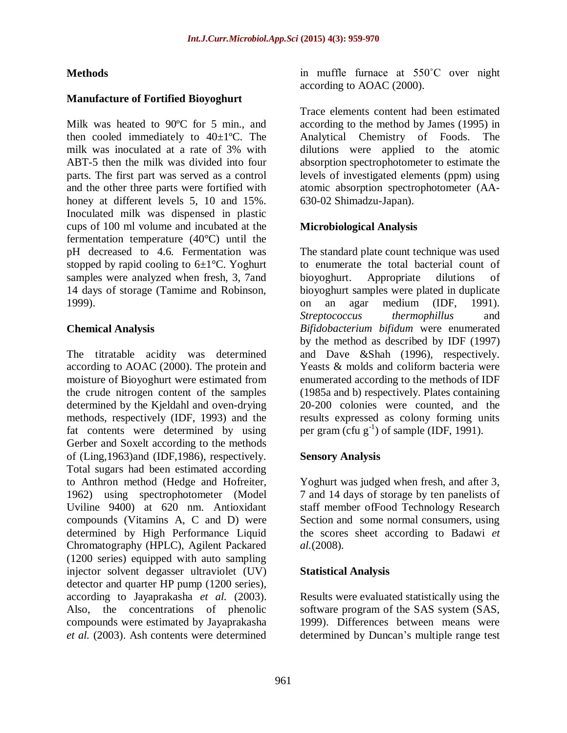# **Methods**

#### **Manufacture of Fortified Bioyoghurt**

Milk was heated to 90ºC for 5 min., and then cooled immediately to 40±1ºC. The milk was inoculated at a rate of 3% with ABT-5 then the milk was divided into four parts. The first part was served as a control and the other three parts were fortified with honey at different levels 5, 10 and 15%. Inoculated milk was dispensed in plastic cups of 100 ml volume and incubated at the fermentation temperature (40°C) until the pH decreased to 4.6. Fermentation was stopped by rapid cooling to  $6\pm1\degree C$ . Yoghurt samples were analyzed when fresh, 3, 7and 14 days of storage (Tamime and Robinson, 1999).

## **Chemical Analysis**

The titratable acidity was determined according to AOAC (2000). The protein and moisture of Bioyoghurt were estimated from the crude nitrogen content of the samples determined by the Kjeldahl and oven-drying methods, respectively (IDF, 1993) and the fat contents were determined by using Gerber and Soxelt according to the methods of (Ling,1963)and (IDF,1986), respectively. Total sugars had been estimated according to Anthron method (Hedge and Hofreiter, 1962) using spectrophotometer (Model Uviline 9400) at 620 nm. Antioxidant compounds (Vitamins A, C and D) were determined by High Performance Liquid Chromatography (HPLC), Agilent Packared (1200 series) equipped with auto sampling injector solvent degasser ultraviolet (UV) detector and quarter HP pump (1200 series), according to Jayaprakasha *et al.* (2003). Also, the concentrations of phenolic compounds were estimated by Jayaprakasha *et al.* (2003). Ash contents were determined

in muffle furnace at 550˚C over night according to AOAC (2000).

Trace elements content had been estimated according to the method by James (1995) in Analytical Chemistry of Foods. The dilutions were applied to the atomic absorption spectrophotometer to estimate the levels of investigated elements (ppm) using atomic absorption spectrophotometer (AA-630-02 Shimadzu-Japan).

## **Microbiological Analysis**

The standard plate count technique was used to enumerate the total bacterial count of bioyoghurt. Appropriate dilutions of bioyoghurt samples were plated in duplicate on an agar medium (IDF, 1991). *Streptococcus thermophillus* and *Bifidobacterium bifidum* were enumerated by the method as described by IDF (1997) and Dave &Shah (1996), respectively. Yeasts & molds and coliform bacteria were enumerated according to the methods of IDF (1985a and b) respectively. Plates containing 20-200 colonies were counted, and the results expressed as colony forming units per gram  $(\text{ctu } g^{-1})$  of sample (IDF, 1991).

#### **Sensory Analysis**

Yoghurt was judged when fresh, and after 3, 7 and 14 days of storage by ten panelists of staff member ofFood Technology Research Section and some normal consumers, using the scores sheet according to Badawi *et al.*(2008).

#### **Statistical Analysis**

Results were evaluated statistically using the software program of the SAS system (SAS, 1999). Differences between means were determined by Duncan's multiple range test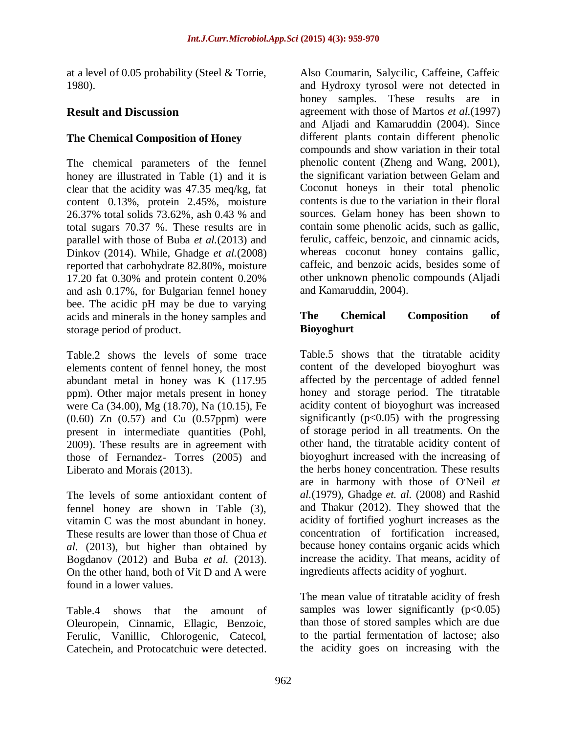at a level of 0.05 probability (Steel & Torrie, 1980).

# **Result and Discussion**

# **The Chemical Composition of Honey**

The chemical parameters of the fennel honey are illustrated in Table (1) and it is clear that the acidity was 47.35 meq/kg, fat content 0.13%, protein 2.45%, moisture 26.37% total solids 73.62%, ash 0.43 % and total sugars 70.37 %. These results are in parallel with those of Buba *et al.*(2013) and Dinkov (2014). While, Ghadge *et al.*(2008) reported that carbohydrate 82.80%, moisture 17.20 fat 0.30% and protein content 0.20% and ash 0.17%, for Bulgarian fennel honey bee. The acidic pH may be due to varying acids and minerals in the honey samples and storage period of product.

Table.2 shows the levels of some trace elements content of fennel honey, the most abundant metal in honey was K (117.95 ppm). Other major metals present in honey were Ca (34.00), Mg (18.70), Na (10.15), Fe (0.60) Zn (0.57) and Cu (0.57ppm) were present in intermediate quantities (Pohl, 2009). These results are in agreement with those of Fernandez- Torres (2005) and Liberato and Morais (2013).

The levels of some antioxidant content of fennel honey are shown in Table (3), vitamin C was the most abundant in honey. These results are lower than those of Chua *et al.* (2013), but higher than obtained by Bogdanov (2012) and Buba *et al.* (2013). On the other hand, both of Vit D and A were found in a lower values.

Table.4 shows that the amount of Oleuropein, Cinnamic, Ellagic, Benzoic, Ferulic, Vanillic, Chlorogenic, Catecol, Catechein, and Protocatchuic were detected. Also Coumarin, Salycilic, Caffeine, Caffeic and Hydroxy tyrosol were not detected in honey samples. These results are in agreement with those of Martos *et al.*(1997) and Aljadi and Kamaruddin (2004). Since different plants contain different phenolic compounds and show variation in their total phenolic content (Zheng and Wang, 2001), the significant variation between Gelam and Coconut honeys in their total phenolic contents is due to the variation in their floral sources. Gelam honey has been shown to contain some phenolic acids, such as gallic, ferulic, caffeic, benzoic, and cinnamic acids, whereas coconut honey contains gallic, caffeic, and benzoic acids, besides some of other unknown phenolic compounds (Aljadi and Kamaruddin, 2004).

## **The Chemical Composition of Bioyoghurt**

Table.5 shows that the titratable acidity content of the developed bioyoghurt was affected by the percentage of added fennel honey and storage period. The titratable acidity content of bioyoghurt was increased significantly ( $p<0.05$ ) with the progressing of storage period in all treatments. On the other hand, the titratable acidity content of bioyoghurt increased with the increasing of the herbs honey concentration. These results are in harmony with those of O'Neil et *al.*(1979), Ghadge *et. al.* (2008) and Rashid and Thakur (2012). They showed that the acidity of fortified yoghurt increases as the concentration of fortification increased, because honey contains organic acids which increase the acidity. That means, acidity of ingredients affects acidity of yoghurt.

The mean value of titratable acidity of fresh samples was lower significantly  $(p<0.05)$ than those of stored samples which are due to the partial fermentation of lactose; also the acidity goes on increasing with the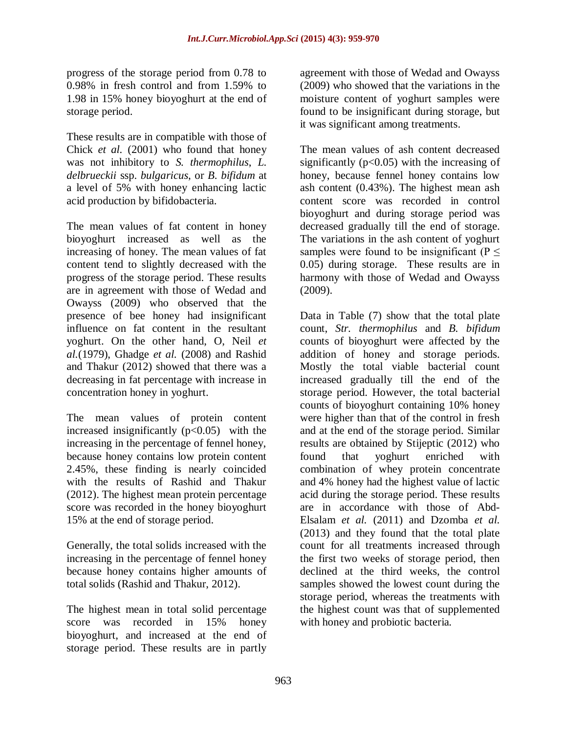progress of the storage period from 0.78 to 0.98% in fresh control and from 1.59% to 1.98 in 15% honey bioyoghurt at the end of storage period.

These results are in compatible with those of Chick *et al.* (2001) who found that honey was not inhibitory to *S. thermophilus*, *L. delbrueckii* ssp. *bulgaricus*, or *B. bifidum* at a level of 5% with honey enhancing lactic acid production by bifidobacteria.

The mean values of fat content in honey bioyoghurt increased as well as the increasing of honey. The mean values of fat content tend to slightly decreased with the progress of the storage period. These results are in agreement with those of Wedad and Owayss (2009) who observed that the presence of bee honey had insignificant influence on fat content in the resultant yoghurt. On the other hand, O, Neil *et al.*(1979), Ghadge *et al.* (2008) and Rashid and Thakur (2012) showed that there was a decreasing in fat percentage with increase in concentration honey in yoghurt.

The mean values of protein content increased insignificantly  $(p<0.05)$  with the increasing in the percentage of fennel honey, because honey contains low protein content 2.45%, these finding is nearly coincided with the results of Rashid and Thakur (2012). The highest mean protein percentage score was recorded in the honey bioyoghurt 15% at the end of storage period.

Generally, the total solids increased with the increasing in the percentage of fennel honey because honey contains higher amounts of total solids (Rashid and Thakur, 2012).

The highest mean in total solid percentage score was recorded in 15% honey bioyoghurt, and increased at the end of storage period. These results are in partly

agreement with those of Wedad and Owayss (2009) who showed that the variations in the moisture content of yoghurt samples were found to be insignificant during storage, but it was significant among treatments.

The mean values of ash content decreased significantly ( $p<0.05$ ) with the increasing of honey, because fennel honey contains low ash content (0.43%). The highest mean ash content score was recorded in control bioyoghurt and during storage period was decreased gradually till the end of storage. The variations in the ash content of yoghurt samples were found to be insignificant ( $P \leq$ 0.05) during storage. These results are in harmony with those of Wedad and Owayss (2009).

Data in Table (7) show that the total plate count, *Str. thermophilus* and *B. bifidum* counts of bioyoghurt were affected by the addition of honey and storage periods. Mostly the total viable bacterial count increased gradually till the end of the storage period. However, the total bacterial counts of bioyoghurt containing 10% honey were higher than that of the control in fresh and at the end of the storage period. Similar results are obtained by Stijeptic (2012) who found that yoghurt enriched with combination of whey protein concentrate and 4% honey had the highest value of lactic acid during the storage period. These results are in accordance with those of Abd-Elsalam *et al.* (2011) and Dzomba *et al.* (2013) and they found that the total plate count for all treatments increased through the first two weeks of storage period, then declined at the third weeks, the control samples showed the lowest count during the storage period, whereas the treatments with the highest count was that of supplemented with honey and probiotic bacteria*.*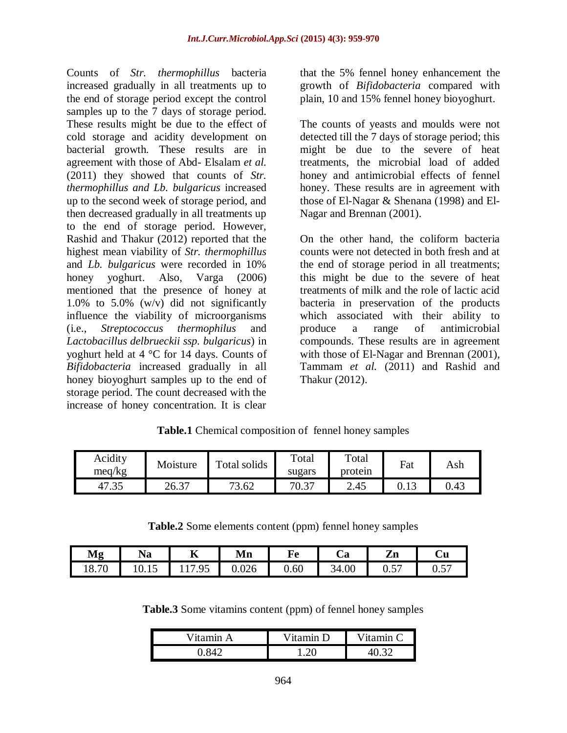Counts of *Str. thermophillus* bacteria increased gradually in all treatments up to the end of storage period except the control samples up to the 7 days of storage period. These results might be due to the effect of cold storage and acidity development on bacterial growth. These results are in agreement with those of Abd- Elsalam *et al.* (2011) they showed that counts of *Str. thermophillus and Lb. bulgaricus* increased up to the second week of storage period, and then decreased gradually in all treatments up to the end of storage period. However, Rashid and Thakur (2012) reported that the highest mean viability of *Str. thermophillus*  and *Lb. bulgaricus* were recorded in 10% honey yoghurt. Also, Varga (2006) mentioned that the presence of honey at 1.0% to 5.0% (w/v) did not significantly influence the viability of microorganisms (i.e., *Streptococcus thermophilus* and *Lactobacillus delbrueckii ssp. bulgaricus*) in yoghurt held at 4 °C for 14 days. Counts of *Bifidobacteria* increased gradually in all honey bioyoghurt samples up to the end of storage period. The count decreased with the increase of honey concentration. It is clear

that the 5% fennel honey enhancement the growth of *Bifidobacteria* compared with plain, 10 and 15% fennel honey bioyoghurt.

The counts of yeasts and moulds were not detected till the 7 days of storage period; this might be due to the severe of heat treatments, the microbial load of added honey and antimicrobial effects of fennel honey. These results are in agreement with those of El-Nagar & Shenana (1998) and El-Nagar and Brennan (2001).

On the other hand, the coliform bacteria counts were not detected in both fresh and at the end of storage period in all treatments; this might be due to the severe of heat treatments of milk and the role of lactic acid bacteria in preservation of the products which associated with their ability to produce a range of antimicrobial compounds. These results are in agreement with those of El-Nagar and Brennan (2001), Tammam *et al.* (2011) and Rashid and Thakur (2012).

| Acidity<br>meq/kg | Moisture | Total solids | Total<br>sugars | Total<br>protein | Fat    | Ash  |
|-------------------|----------|--------------|-----------------|------------------|--------|------|
| 41.5.             | 26.37    | 3.62<br>72   | 70.37           | 2.45             | U. I J | 0.43 |

**Table.1** Chemical composition of fennel honey samples

**Table.2** Some elements content (ppm) fennel honey samples

| Mg              | $\cdot$ $\cdot$<br>Na | ∸             | . .<br>Mn         | Fe   | $\overline{\phantom{a}}$<br>n<br>∪a | $\overline{ }$<br>' т<br>ДП          | -<br>Ùи                          |
|-----------------|-----------------------|---------------|-------------------|------|-------------------------------------|--------------------------------------|----------------------------------|
| $\sim$<br>10.IU | 10.IJ                 | $\Omega$<br>. | $\Omega$<br>v.v∠v | 0.60 | 34.00                               | $-$<br>$\mathsf{v} \cdot \mathsf{v}$ | $-$<br>$\mathsf{v} \mathsf{v}$ . |

**Table.3** Some vitamins content (ppm) of fennel honey samples

| Vitamin A | $V$ itamin $D$  | Vitamin $\Gamma$ |
|-----------|-----------------|------------------|
|           | $^{\prime}$ ) ( |                  |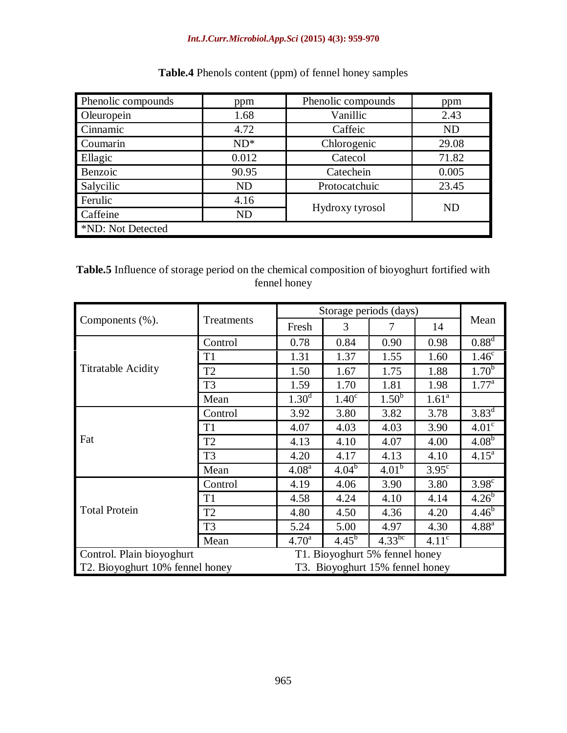#### *Int.J.Curr.Microbiol.App.Sci* **(2015) 4(3): 959-970**

| Phenolic compounds | ppm       | Phenolic compounds | ppm       |  |  |  |
|--------------------|-----------|--------------------|-----------|--|--|--|
| Oleuropein         | 1.68      | Vanillic           | 2.43      |  |  |  |
| Cinnamic           | 4.72      | Caffeic            | <b>ND</b> |  |  |  |
| Coumarin           | $ND^*$    | Chlorogenic        | 29.08     |  |  |  |
| Ellagic            | 0.012     | Catecol            | 71.82     |  |  |  |
| Benzoic            | 90.95     | Catechein          | 0.005     |  |  |  |
| Salycilic          | <b>ND</b> | Protocatchuic      | 23.45     |  |  |  |
| Ferulic            | 4.16      |                    | <b>ND</b> |  |  |  |
| Caffeine           | <b>ND</b> | Hydroxy tyrosol    |           |  |  |  |
| *ND: Not Detected  |           |                    |           |  |  |  |

# **Table.4** Phenols content (ppm) of fennel honey samples

# **Table.5** Influence of storage period on the chemical composition of bioyoghurt fortified with fennel honey

|                                 |                | Storage periods (days)          |                   |                        |                   |                   |
|---------------------------------|----------------|---------------------------------|-------------------|------------------------|-------------------|-------------------|
| Components $(\%).$              | Treatments     | Fresh                           | 3                 | 7                      | 14                | Mean              |
|                                 | Control        | 0.78                            | 0.84              | 0.90                   | 0.98              | $0.88^{d}$        |
|                                 | T1             | 1.31                            | 1.37              | 1.55                   | 1.60              | 1.46 <sup>c</sup> |
| <b>Titratable Acidity</b>       | T <sub>2</sub> | 1.50                            | 1.67              | 1.75                   | 1.88              | $1.70^{5}$        |
|                                 | T <sub>3</sub> | 1.59                            | 1.70              | 1.81                   | 1.98              | $1.77^{\rm a}$    |
|                                 | Mean           | 1.30 <sup>d</sup>               | 1.40 <sup>c</sup> | $1.50^b$               | $1.61^{\circ}$    |                   |
|                                 | Control        | 3.92                            | 3.80              | 3.82                   | 3.78              | $3.83^d$          |
|                                 | T <sub>1</sub> | 4.07                            | 4.03              | 4.03                   | 3.90              | 4.01 <sup>c</sup> |
| Fat                             | T <sub>2</sub> | 4.13                            | 4.10              | 4.07                   | 4.00              | 4.08 <sup>b</sup> |
|                                 | T <sub>3</sub> | 4.20                            | 4.17              | 4.13                   | 4.10              | $4.15^{\text{a}}$ |
|                                 | Mean           | 4.08 <sup>a</sup>               | $4.04^{b}$        | 4.01 <sup>b</sup>      | $3.95^{\circ}$    |                   |
|                                 | Control        | 4.19                            | 4.06              | 3.90                   | 3.80              | 3.98 <sup>c</sup> |
|                                 | T <sub>1</sub> | 4.58                            | 4.24              | 4.10                   | 4.14              | $4.26^{b}$        |
| <b>Total Protein</b>            | T <sub>2</sub> | 4.80                            | 4.50              | 4.36                   | 4.20              | $4.46^{b}$        |
|                                 | T <sub>3</sub> | 5.24                            | 5.00              | 4.97                   | 4.30              | $4.88^{a}$        |
|                                 | Mean           | 4.70 <sup>a</sup>               | $4.45^{b}$        | $4.33^{\overline{bc}}$ | 4.11 <sup>c</sup> |                   |
| Control. Plain bioyoghurt       |                | T1. Bioyoghurt 5% fennel honey  |                   |                        |                   |                   |
| T2. Bioyoghurt 10% fennel honey |                | T3. Bioyoghurt 15% fennel honey |                   |                        |                   |                   |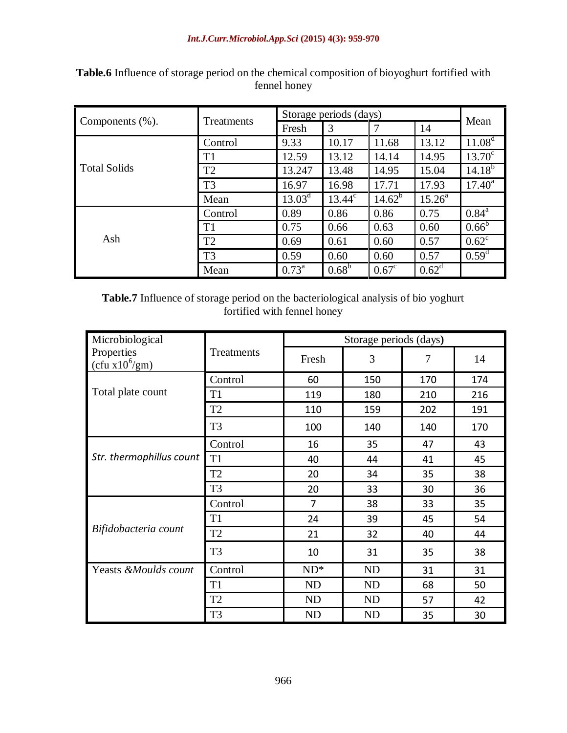|                     | <b>Treatments</b> | Storage periods (days) |                |                |           | Mean               |
|---------------------|-------------------|------------------------|----------------|----------------|-----------|--------------------|
| Components $(\%).$  |                   | Fresh                  | 3              | 7              | 14        |                    |
|                     | Control           | 9.33                   | 10.17          | 11.68          | 13.12     | 11.08 <sup>d</sup> |
|                     | T <sub>1</sub>    | 12.59                  | 13.12          | 14.14          | 14.95     | $13.70^{\circ}$    |
| <b>Total Solids</b> | T2                | 13.247                 | 13.48          | 14.95          | 15.04     | $14.18^{b}$        |
|                     | T <sub>3</sub>    | 16.97                  | 16.98          | 17.71          | 17.93     | $17.40^a$          |
|                     | Mean              | $13.03^d$              | $13.44^c$      | $14.62^{b}$    | $15.26^a$ |                    |
|                     | Control           | 0.89                   | 0.86           | 0.86           | 0.75      | $0.84^{\rm a}$     |
|                     | T <sub>1</sub>    | 0.75                   | 0.66           | 0.63           | 0.60      | $0.66^{b}$         |
| Ash                 | T2                | 0.69                   | 0.61           | 0.60           | 0.57      | $0.62^{\circ}$     |
|                     | T <sub>3</sub>    | 0.59                   | 0.60           | 0.60           | 0.57      | $0.59^d$           |
|                     | Mean              | $0.73^{\rm a}$         | $0.68^{\rm b}$ | $0.67^{\circ}$ | $0.62^d$  |                    |

**Table.6** Influence of storage period on the chemical composition of bioyoghurt fortified with fennel honey

**Table.7** Influence of storage period on the bacteriological analysis of bio yoghurt fortified with fennel honey

| Microbiological                |                     |                | Storage periods (days) |     |     |
|--------------------------------|---------------------|----------------|------------------------|-----|-----|
| Properties<br>$(cfu x10^6/gm)$ | Treatments<br>Fresh | 3              | 7                      | 14  |     |
|                                | Control             | 60             | 150                    | 170 | 174 |
| Total plate count              | T <sub>1</sub>      | 119            | 180                    | 210 | 216 |
|                                | T <sub>2</sub>      | 110            | 159                    | 202 | 191 |
|                                | T <sub>3</sub>      | 100            | 140                    | 140 | 170 |
|                                | Control             | 16             | 35                     | 47  | 43  |
| Str. thermophillus count       | T <sub>1</sub>      | 40             | 44                     | 41  | 45  |
|                                | T <sub>2</sub>      | 20             | 34                     | 35  | 38  |
|                                | T <sub>3</sub>      | 20             | 33                     | 30  | 36  |
|                                | Control             | $\overline{7}$ | 38                     | 33  | 35  |
|                                | T <sub>1</sub>      | 24             | 39                     | 45  | 54  |
| Bifidobacteria count           | T <sub>2</sub>      | 21             | 32                     | 40  | 44  |
|                                | T <sub>3</sub>      | 10             | 31                     | 35  | 38  |
| Yeasts &Moulds count           | Control             | $ND^*$         | <b>ND</b>              | 31  | 31  |
|                                | T <sub>1</sub>      | <b>ND</b>      | <b>ND</b>              | 68  | 50  |
|                                | T <sub>2</sub>      | <b>ND</b>      | <b>ND</b>              | 57  | 42  |
|                                | T <sub>3</sub>      | <b>ND</b>      | <b>ND</b>              | 35  | 30  |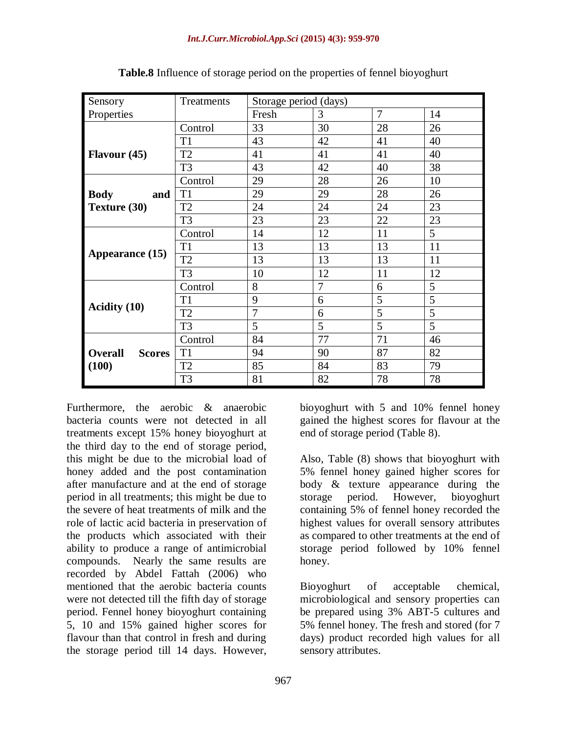| Sensory                         | Treatments     | Storage period (days) |    |    |    |
|---------------------------------|----------------|-----------------------|----|----|----|
| Properties                      |                | Fresh                 | 3  | 7  | 14 |
|                                 | Control        | 33                    | 30 | 28 | 26 |
|                                 | T1             | 43                    | 42 | 41 | 40 |
| Flavour $(45)$                  | T <sub>2</sub> | 41                    | 41 | 41 | 40 |
|                                 | T <sub>3</sub> | 43                    | 42 | 40 | 38 |
|                                 | Control        | 29                    | 28 | 26 | 10 |
| <b>Body</b><br>and              | T <sub>1</sub> | 29                    | 29 | 28 | 26 |
| Texture (30)                    | T <sub>2</sub> | 24                    | 24 | 24 | 23 |
|                                 | T <sub>3</sub> | 23                    | 23 | 22 | 23 |
|                                 | Control        | 14                    | 12 | 11 | 5  |
|                                 | T <sub>1</sub> | 13                    | 13 | 13 | 11 |
| Appearance (15)                 | T <sub>2</sub> | 13                    | 13 | 13 | 11 |
|                                 | T <sub>3</sub> | 10                    | 12 | 11 | 12 |
|                                 | Control        | 8                     | 7  | 6  | 5  |
|                                 | T1             | 9                     | 6  | 5  | 5  |
| <b>Acidity</b> (10)             | T <sub>2</sub> | 7                     | 6  | 5  | 5  |
|                                 | T <sub>3</sub> | 5                     | 5  | 5  | 5  |
|                                 | Control        | 84                    | 77 | 71 | 46 |
| <b>Scores</b><br><b>Overall</b> | T <sub>1</sub> | 94                    | 90 | 87 | 82 |
| (100)                           | T <sub>2</sub> | 85                    | 84 | 83 | 79 |
|                                 | T <sub>3</sub> | 81                    | 82 | 78 | 78 |

**Table.8** Influence of storage period on the properties of fennel bioyoghurt

Furthermore, the aerobic & anaerobic bacteria counts were not detected in all treatments except 15% honey bioyoghurt at the third day to the end of storage period, this might be due to the microbial load of honey added and the post contamination after manufacture and at the end of storage period in all treatments; this might be due to the severe of heat treatments of milk and the role of lactic acid bacteria in preservation of the products which associated with their ability to produce a range of antimicrobial compounds. Nearly the same results are recorded by Abdel Fattah (2006) who mentioned that the aerobic bacteria counts were not detected till the fifth day of storage period. Fennel honey bioyoghurt containing 5, 10 and 15% gained higher scores for flavour than that control in fresh and during the storage period till 14 days. However,

bioyoghurt with 5 and 10% fennel honey gained the highest scores for flavour at the end of storage period (Table 8).

Also, Table (8) shows that bioyoghurt with 5% fennel honey gained higher scores for body & texture appearance during the storage period. However, bioyoghurt containing 5% of fennel honey recorded the highest values for overall sensory attributes as compared to other treatments at the end of storage period followed by 10% fennel honey.

Bioyoghurt of acceptable chemical, microbiological and sensory properties can be prepared using 3% ABT-5 cultures and 5% fennel honey. The fresh and stored (for 7 days) product recorded high values for all sensory attributes.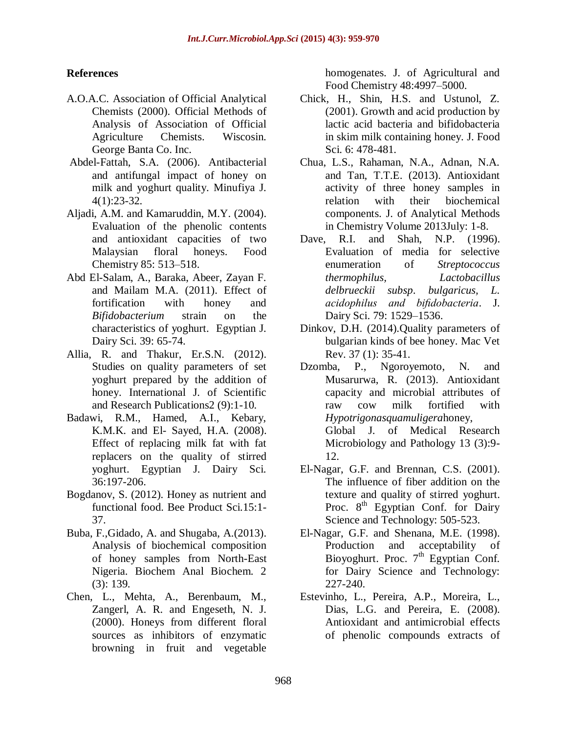# **References**

- A.O.A.C. Association of Official Analytical Chemists (2000). Official Methods of Analysis of Association of Official Agriculture Chemists. Wiscosin. George Banta Co. Inc.
- Abdel-Fattah, S.A. (2006). Antibacterial and antifungal impact of honey on milk and yoghurt quality. Minufiya J. 4(1):23-32.
- Aljadi, A.M. and Kamaruddin, M.Y. (2004). Evaluation of the phenolic contents and antioxidant capacities of two Malaysian floral honeys. Food Chemistry 85: 513–518.
- Abd El-Salam, A., Baraka, Abeer, Zayan F. and Mailam M.A. (2011). Effect of fortification with honey and *Bifidobacterium* strain on the characteristics of yoghurt. Egyptian J. Dairy Sci. 39: 65-74.
- Allia, R. and Thakur, Er.S.N. (2012). Studies on quality parameters of set yoghurt prepared by the addition of honey. International J. of Scientific and Research Publications2 (9):1-10.
- Badawi, R.M., Hamed, A.I., Kebary, K.M.K. and El- Sayed, H.A. (2008). Effect of replacing milk fat with fat replacers on the quality of stirred yoghurt. Egyptian J. Dairy Sci. 36:197-206.
- Bogdanov, S. (2012). Honey as nutrient and functional food. Bee Product Sci.15:1- 37.
- Buba, F.,Gidado, A. and Shugaba, A.(2013). Analysis of biochemical composition of honey samples from North-East Nigeria. Biochem Anal Biochem. 2 (3): 139.
- Chen, L., Mehta, A., Berenbaum, M., Zangerl, A. R. and Engeseth, N. J. (2000). Honeys from different floral sources as inhibitors of enzymatic browning in fruit and vegetable

homogenates. J. of Agricultural and Food Chemistry 48:4997–5000.

- Chick, H., Shin, H.S. and Ustunol, Z. (2001). Growth and acid production by lactic acid bacteria and bifidobacteria in skim milk containing honey. J. Food Sci. 6: 478-481.
- Chua, L.S., Rahaman, N.A., Adnan, N.A. and Tan, T.T.E. (2013). Antioxidant activity of three honey samples in relation with their biochemical components. J. of Analytical Methods in Chemistry Volume 2013July: 1-8.
- Dave, R.I. and Shah, N.P. (1996). Evaluation of media for selective enumeration of *Streptococcus thermophilus, Lactobacillus delbrueckii subsp*. *bulgaricus, L. acidophilus and bifidobacteria*. J. Dairy Sci. 79: 1529–1536.
- Dinkov, D.H. (2014).Quality parameters of bulgarian kinds of bee honey. Mac Vet Rev. 37 (1): 35-41.
- Dzomba, P., Ngoroyemoto, N. and Musarurwa, R. (2013). Antioxidant capacity and microbial attributes of raw cow milk fortified with *Hypotrigonasquamuligera*honey, Global J. of Medical Research Microbiology and Pathology 13 (3):9- 12.
- El-Nagar, G.F. and Brennan, C.S. (2001). The influence of fiber addition on the texture and quality of stirred yoghurt. Proc.  $8<sup>th</sup>$  Egyptian Conf. for Dairy Science and Technology: 505-523.
- El-Nagar, G.F. and Shenana, M.E. (1998). Production and acceptability of Bioyoghurt. Proc.  $7<sup>th</sup>$  Egyptian Conf. for Dairy Science and Technology: 227-240.
- Estevinho, L., Pereira, A.P., Moreira, L., Dias, L.G. and Pereira, E. (2008). Antioxidant and antimicrobial effects of phenolic compounds extracts of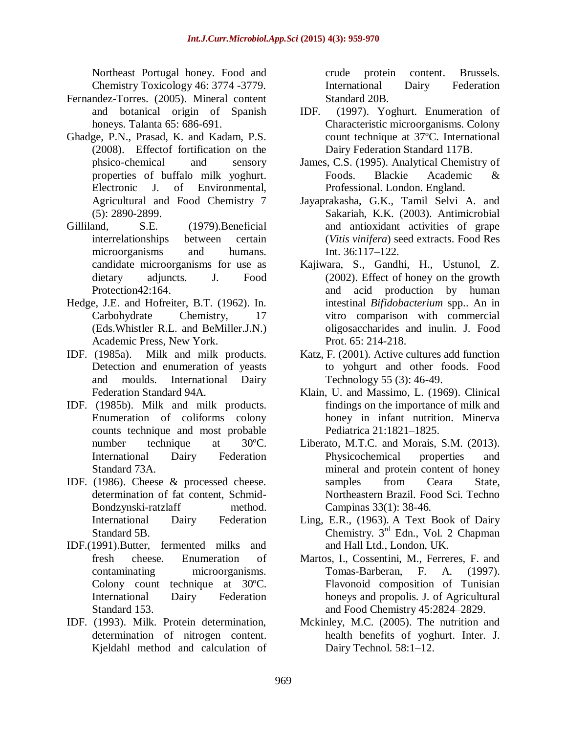Northeast Portugal honey. Food and Chemistry Toxicology 46: 3774 -3779.

- Fernandez-Torres. (2005). Mineral content and botanical origin of Spanish honeys. Talanta 65: 686-691.
- Ghadge, P.N., Prasad, K. and Kadam, P.S. (2008). Effectof fortification on the phsico-chemical and sensory properties of buffalo milk yoghurt. Electronic J. of Environmental, Agricultural and Food Chemistry 7 (5): 2890-2899.
- Gilliland, S.E. (1979). Beneficial interrelationships between certain microorganisms and humans. candidate microorganisms for use as dietary adjuncts. J. Food Protection42:164.
- Hedge, J.E. and Hofreiter, B.T. (1962). In. Carbohydrate Chemistry, 17 (Eds.Whistler R.L. and BeMiller.J.N.) Academic Press, New York.
- IDF. (1985a). Milk and milk products. Detection and enumeration of yeasts and moulds. International Dairy Federation Standard 94A.
- IDF. (1985b). Milk and milk products. Enumeration of coliforms colony counts technique and most probable number technique at 30ºC. International Dairy Federation Standard 73A.
- IDF. (1986). Cheese & processed cheese. determination of fat content, Schmid-Bondzynski-ratzlaff method. International Dairy Federation Standard 5B.
- IDF.(1991).Butter, fermented milks and fresh cheese. Enumeration of contaminating microorganisms. Colony count technique at 30ºC. International Dairy Federation Standard 153.
- IDF. (1993). Milk. Protein determination, determination of nitrogen content. Kjeldahl method and calculation of

crude protein content. Brussels. International Dairy Federation Standard 20B.

- IDF. (1997). Yoghurt. Enumeration of Characteristic microorganisms. Colony count technique at 37ºC. International Dairy Federation Standard 117B.
- James, C.S. (1995). Analytical Chemistry of Foods. Blackie Academic & Professional. London. England.
- Jayaprakasha, G.K., Tamil Selvi A. and Sakariah, K.K. (2003). Antimicrobial and antioxidant activities of grape (*Vitis vinifera*) seed extracts. Food Res Int. 36:117–122.
- Kajiwara, S., Gandhi, H., Ustunol, Z. (2002). Effect of honey on the growth and acid production by human intestinal *Bifidobacterium* spp.. An in vitro comparison with commercial oligosaccharides and inulin. J. Food Prot. 65: 214-218.
- Katz, F. (2001). Active cultures add function to yohgurt and other foods. Food Technology 55 (3): 46-49.
- Klain, U. and Massimo, L. (1969). Clinical findings on the importance of milk and honey in infant nutrition. Minerva Pediatrica 21:1821–1825.
- Liberato, M.T.C. and Morais, S.M. (2013). Physicochemical properties and mineral and protein content of honey samples from Ceara State, Northeastern Brazil. Food Sci. Techno Campinas 33(1): 38-46.
- Ling, E.R., (1963). A Text Book of Dairy Chemistry. 3rd Edn., Vol. 2 Chapman and Hall Ltd., London, UK.
- Martos, I., Cossentini, M., Ferreres, F. and Tomas-Barberan, F. A. (1997). Flavonoid composition of Tunisian honeys and propolis. J. of Agricultural and Food Chemistry 45:2824–2829.
- Mckinley, M.C. (2005). The nutrition and health benefits of yoghurt. Inter. J. Dairy Technol. 58:1–12.